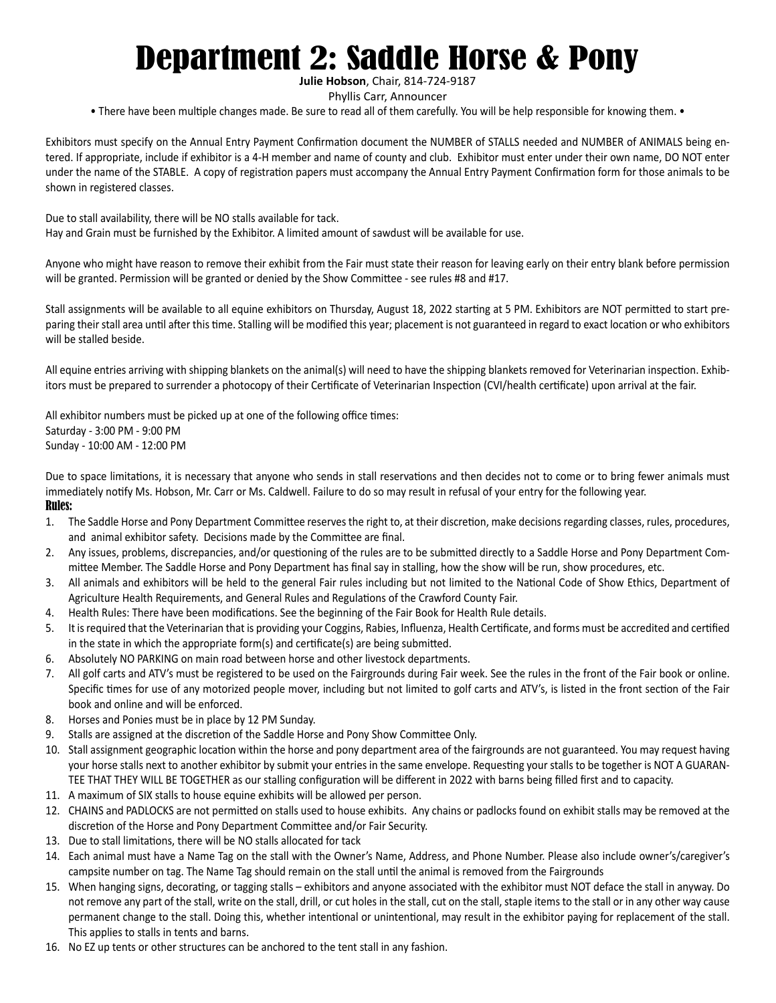# Department 2: Saddle Horse & Pony

**Julie Hobson**, Chair, 814-724-9187

Phyllis Carr, Announcer

• There have been multiple changes made. Be sure to read all of them carefully. You will be help responsible for knowing them. •

Exhibitors must specify on the Annual Entry Payment Confirmation document the NUMBER of STALLS needed and NUMBER of ANIMALS being entered. If appropriate, include if exhibitor is a 4-H member and name of county and club. Exhibitor must enter under their own name, DO NOT enter under the name of the STABLE. A copy of registration papers must accompany the Annual Entry Payment Confirmation form for those animals to be shown in registered classes.

Due to stall availability, there will be NO stalls available for tack. Hay and Grain must be furnished by the Exhibitor. A limited amount of sawdust will be available for use.

Anyone who might have reason to remove their exhibit from the Fair must state their reason for leaving early on their entry blank before permission will be granted. Permission will be granted or denied by the Show Committee - see rules #8 and #17.

Stall assignments will be available to all equine exhibitors on Thursday, August 18, 2022 starting at 5 PM. Exhibitors are NOT permitted to start preparing their stall area until after this time. Stalling will be modified this year; placement is not guaranteed in regard to exact location or who exhibitors will be stalled beside.

All equine entries arriving with shipping blankets on the animal(s) will need to have the shipping blankets removed for Veterinarian inspection. Exhibitors must be prepared to surrender a photocopy of their Certificate of Veterinarian Inspection (CVI/health certificate) upon arrival at the fair.

All exhibitor numbers must be picked up at one of the following office times: Saturday - 3:00 PM - 9:00 PM Sunday - 10:00 AM - 12:00 PM

Due to space limitations, it is necessary that anyone who sends in stall reservations and then decides not to come or to bring fewer animals must immediately notify Ms. Hobson, Mr. Carr or Ms. Caldwell. Failure to do so may result in refusal of your entry for the following year. Rules:

- 1. The Saddle Horse and Pony Department Committee reserves the right to, at their discretion, make decisions regarding classes, rules, procedures, and animal exhibitor safety. Decisions made by the Committee are final.
- 2. Any issues, problems, discrepancies, and/or questioning of the rules are to be submitted directly to a Saddle Horse and Pony Department Committee Member. The Saddle Horse and Pony Department has final say in stalling, how the show will be run, show procedures, etc.
- 3. All animals and exhibitors will be held to the general Fair rules including but not limited to the National Code of Show Ethics, Department of Agriculture Health Requirements, and General Rules and Regulations of the Crawford County Fair.
- 4. Health Rules: There have been modifications. See the beginning of the Fair Book for Health Rule details.
- 5. It is required that the Veterinarian that is providing your Coggins, Rabies, Influenza, Health Certificate, and forms must be accredited and certified in the state in which the appropriate form(s) and certificate(s) are being submitted.
- 6. Absolutely NO PARKING on main road between horse and other livestock departments.
- 7. All golf carts and ATV's must be registered to be used on the Fairgrounds during Fair week. See the rules in the front of the Fair book or online. Specific times for use of any motorized people mover, including but not limited to golf carts and ATV's, is listed in the front section of the Fair book and online and will be enforced.
- 8. Horses and Ponies must be in place by 12 PM Sunday.
- 9. Stalls are assigned at the discretion of the Saddle Horse and Pony Show Committee Only.
- 10. Stall assignment geographic location within the horse and pony department area of the fairgrounds are not guaranteed. You may request having your horse stalls next to another exhibitor by submit your entries in the same envelope. Requesting your stalls to be together is NOT A GUARAN-TEE THAT THEY WILL BE TOGETHER as our stalling configuration will be different in 2022 with barns being filled first and to capacity.
- 11. A maximum of SIX stalls to house equine exhibits will be allowed per person.
- 12. CHAINS and PADLOCKS are not permitted on stalls used to house exhibits. Any chains or padlocks found on exhibit stalls may be removed at the discretion of the Horse and Pony Department Committee and/or Fair Security.
- 13. Due to stall limitations, there will be NO stalls allocated for tack
- 14. Each animal must have a Name Tag on the stall with the Owner's Name, Address, and Phone Number. Please also include owner's/caregiver's campsite number on tag. The Name Tag should remain on the stall until the animal is removed from the Fairgrounds
- 15. When hanging signs, decorating, or tagging stalls exhibitors and anyone associated with the exhibitor must NOT deface the stall in anyway. Do not remove any part of the stall, write on the stall, drill, or cut holes in the stall, cut on the stall, staple items to the stall or in any other way cause permanent change to the stall. Doing this, whether intentional or unintentional, may result in the exhibitor paying for replacement of the stall. This applies to stalls in tents and barns.
- 16. No EZ up tents or other structures can be anchored to the tent stall in any fashion.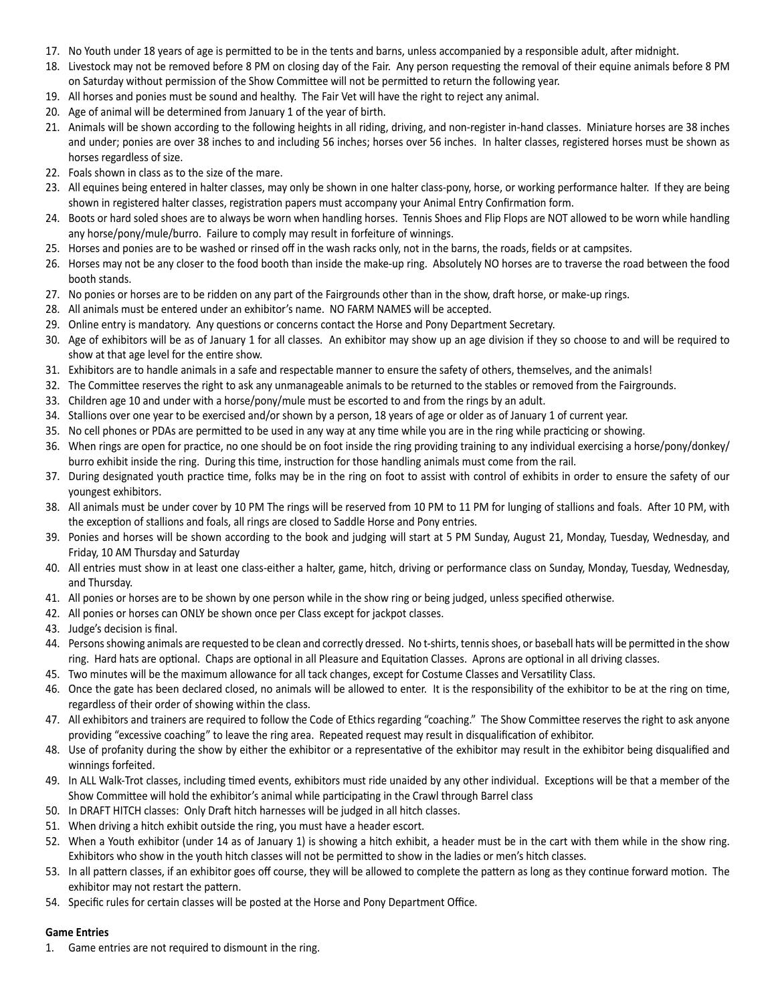- 17. No Youth under 18 years of age is permitted to be in the tents and barns, unless accompanied by a responsible adult, after midnight.
- 18. Livestock may not be removed before 8 PM on closing day of the Fair. Any person requesting the removal of their equine animals before 8 PM on Saturday without permission of the Show Committee will not be permitted to return the following year.
- 19. All horses and ponies must be sound and healthy. The Fair Vet will have the right to reject any animal.
- 20. Age of animal will be determined from January 1 of the year of birth.
- 21. Animals will be shown according to the following heights in all riding, driving, and non-register in-hand classes. Miniature horses are 38 inches and under; ponies are over 38 inches to and including 56 inches; horses over 56 inches. In halter classes, registered horses must be shown as horses regardless of size.
- 22. Foals shown in class as to the size of the mare.
- 23. All equines being entered in halter classes, may only be shown in one halter class-pony, horse, or working performance halter. If they are being shown in registered halter classes, registration papers must accompany your Animal Entry Confirmation form.
- 24. Boots or hard soled shoes are to always be worn when handling horses. Tennis Shoes and Flip Flops are NOT allowed to be worn while handling any horse/pony/mule/burro. Failure to comply may result in forfeiture of winnings.
- 25. Horses and ponies are to be washed or rinsed off in the wash racks only, not in the barns, the roads, fields or at campsites.
- 26. Horses may not be any closer to the food booth than inside the make-up ring. Absolutely NO horses are to traverse the road between the food booth stands.
- 27. No ponies or horses are to be ridden on any part of the Fairgrounds other than in the show, draft horse, or make-up rings.
- 28. All animals must be entered under an exhibitor's name. NO FARM NAMES will be accepted.
- 29. Online entry is mandatory. Any questions or concerns contact the Horse and Pony Department Secretary.
- 30. Age of exhibitors will be as of January 1 for all classes. An exhibitor may show up an age division if they so choose to and will be required to show at that age level for the entire show.
- 31. Exhibitors are to handle animals in a safe and respectable manner to ensure the safety of others, themselves, and the animals!
- 32. The Committee reserves the right to ask any unmanageable animals to be returned to the stables or removed from the Fairgrounds.
- 33. Children age 10 and under with a horse/pony/mule must be escorted to and from the rings by an adult.
- 34. Stallions over one year to be exercised and/or shown by a person, 18 years of age or older as of January 1 of current year.
- 35. No cell phones or PDAs are permitted to be used in any way at any time while you are in the ring while practicing or showing.
- 36. When rings are open for practice, no one should be on foot inside the ring providing training to any individual exercising a horse/pony/donkey/ burro exhibit inside the ring. During this time, instruction for those handling animals must come from the rail.
- 37. During designated youth practice time, folks may be in the ring on foot to assist with control of exhibits in order to ensure the safety of our youngest exhibitors.
- 38. All animals must be under cover by 10 PM The rings will be reserved from 10 PM to 11 PM for lunging of stallions and foals. After 10 PM, with the exception of stallions and foals, all rings are closed to Saddle Horse and Pony entries.
- 39. Ponies and horses will be shown according to the book and judging will start at 5 PM Sunday, August 21, Monday, Tuesday, Wednesday, and Friday, 10 AM Thursday and Saturday
- 40. All entries must show in at least one class-either a halter, game, hitch, driving or performance class on Sunday, Monday, Tuesday, Wednesday, and Thursday.
- 41. All ponies or horses are to be shown by one person while in the show ring or being judged, unless specified otherwise.
- 42. All ponies or horses can ONLY be shown once per Class except for jackpot classes.
- 43. Judge's decision is final.
- 44. Persons showing animals are requested to be clean and correctly dressed. No t-shirts, tennis shoes, or baseball hats will be permitted in the show ring. Hard hats are optional. Chaps are optional in all Pleasure and Equitation Classes. Aprons are optional in all driving classes.
- 45. Two minutes will be the maximum allowance for all tack changes, except for Costume Classes and Versatility Class.
- 46. Once the gate has been declared closed, no animals will be allowed to enter. It is the responsibility of the exhibitor to be at the ring on time, regardless of their order of showing within the class.
- 47. All exhibitors and trainers are required to follow the Code of Ethics regarding "coaching." The Show Committee reserves the right to ask anyone providing "excessive coaching" to leave the ring area. Repeated request may result in disqualification of exhibitor.
- 48. Use of profanity during the show by either the exhibitor or a representative of the exhibitor may result in the exhibitor being disqualified and winnings forfeited.
- 49. In ALL Walk-Trot classes, including timed events, exhibitors must ride unaided by any other individual. Exceptions will be that a member of the Show Committee will hold the exhibitor's animal while participating in the Crawl through Barrel class
- 50. In DRAFT HITCH classes: Only Draft hitch harnesses will be judged in all hitch classes.
- 51. When driving a hitch exhibit outside the ring, you must have a header escort.
- 52. When a Youth exhibitor (under 14 as of January 1) is showing a hitch exhibit, a header must be in the cart with them while in the show ring. Exhibitors who show in the youth hitch classes will not be permitted to show in the ladies or men's hitch classes.
- 53. In all pattern classes, if an exhibitor goes off course, they will be allowed to complete the pattern as long as they continue forward motion. The exhibitor may not restart the pattern.
- 54. Specific rules for certain classes will be posted at the Horse and Pony Department Office.

#### **Game Entries**

1. Game entries are not required to dismount in the ring.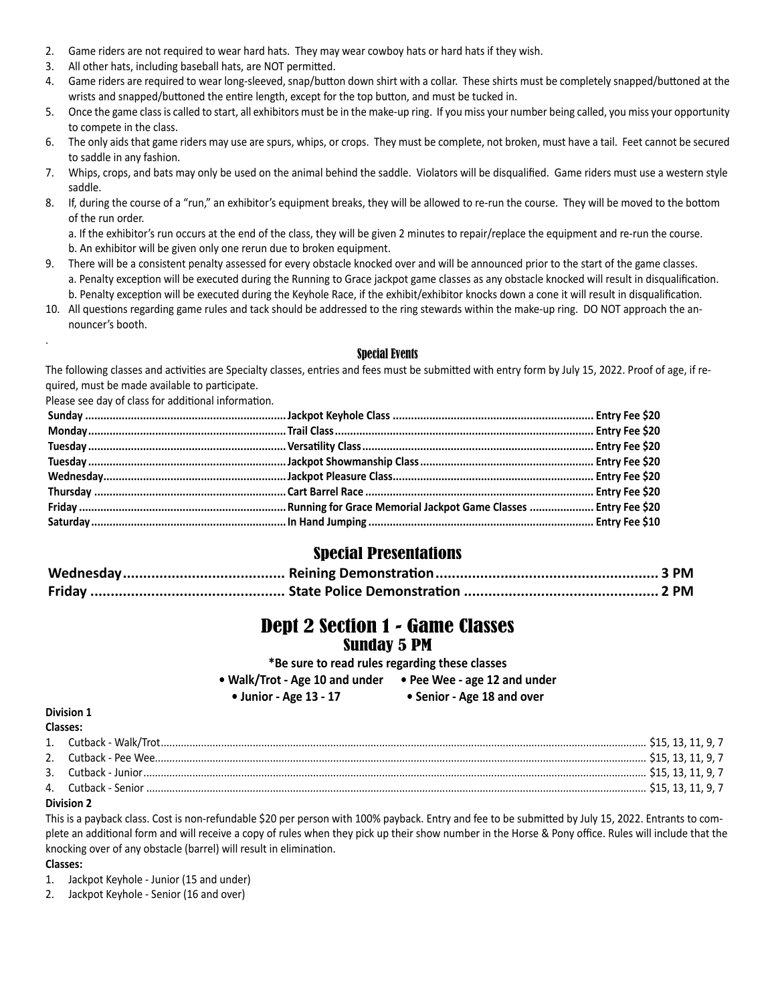- 2. Game riders are not required to wear hard hats. They may wear cowboy hats or hard hats if they wish.
- 3. All other hats, including baseball hats, are NOT permitted.
- 4. Game riders are required to wear long-sleeved, snap/button down shirt with a collar. These shirts must be completely snapped/buttoned at the wrists and snapped/buttoned the entire length, except for the top button, and must be tucked in.
- 5. Once the game class is called to start, all exhibitors must be in the make-up ring. If you miss your number being called, you miss your opportunity to compete in the class.
- 6. The only aids that game riders may use are spurs, whips, or crops. They must be complete, not broken, must have a tail. Feet cannot be secured to saddle in any fashion.
- 7. Whips, crops, and bats may only be used on the animal behind the saddle. Violators will be disqualified. Game riders must use a western style saddle.
- 8. If, during the course of a "run," an exhibitor's equipment breaks, they will be allowed to re-run the course. They will be moved to the bottom of the run order.

a. If the exhibitor's run occurs at the end of the class, they will be given 2 minutes to repair/replace the equipment and re-run the course. b. An exhibitor will be given only one rerun due to broken equipment.

- 9. There will be a consistent penalty assessed for every obstacle knocked over and will be announced prior to the start of the game classes. a. Penalty exception will be executed during the Running to Grace jackpot game classes as any obstacle knocked will result in disqualification. b. Penalty exception will be executed during the Keyhole Race, if the exhibit/exhibitor knocks down a cone it will result in disqualification.
- 10. All questions regarding game rules and tack should be addressed to the ring stewards within the make-up ring. DO NOT approach the announcer's booth.

#### Special Events

The following classes and activities are Specialty classes, entries and fees must be submitted with entry form by July 15, 2022. Proof of age, if required, must be made available to participate.

Please see day of class for additional information.

#### Special Presentations

# Dept 2 Section 1 - Game Classes

#### Sunday 5 PM

**\*Be sure to read rules regarding these classes**

**• Walk/Trot - Age 10 and under • Pee Wee - age 12 and under**

**• Junior - Age 13 - 17 • Senior - Age 18 and over**

#### **Division 1**

.

| <b>Classes:</b> |  |  |  |
|-----------------|--|--|--|
|                 |  |  |  |
|                 |  |  |  |
|                 |  |  |  |
|                 |  |  |  |
| -----           |  |  |  |

#### **Division 2**

This is a payback class. Cost is non-refundable \$20 per person with 100% payback. Entry and fee to be submitted by July 15, 2022. Entrants to complete an additional form and will receive a copy of rules when they pick up their show number in the Horse & Pony office. Rules will include that the knocking over of any obstacle (barrel) will result in elimination.

#### **Classes:**

1. Jackpot Keyhole - Junior (15 and under)

2. Jackpot Keyhole - Senior (16 and over)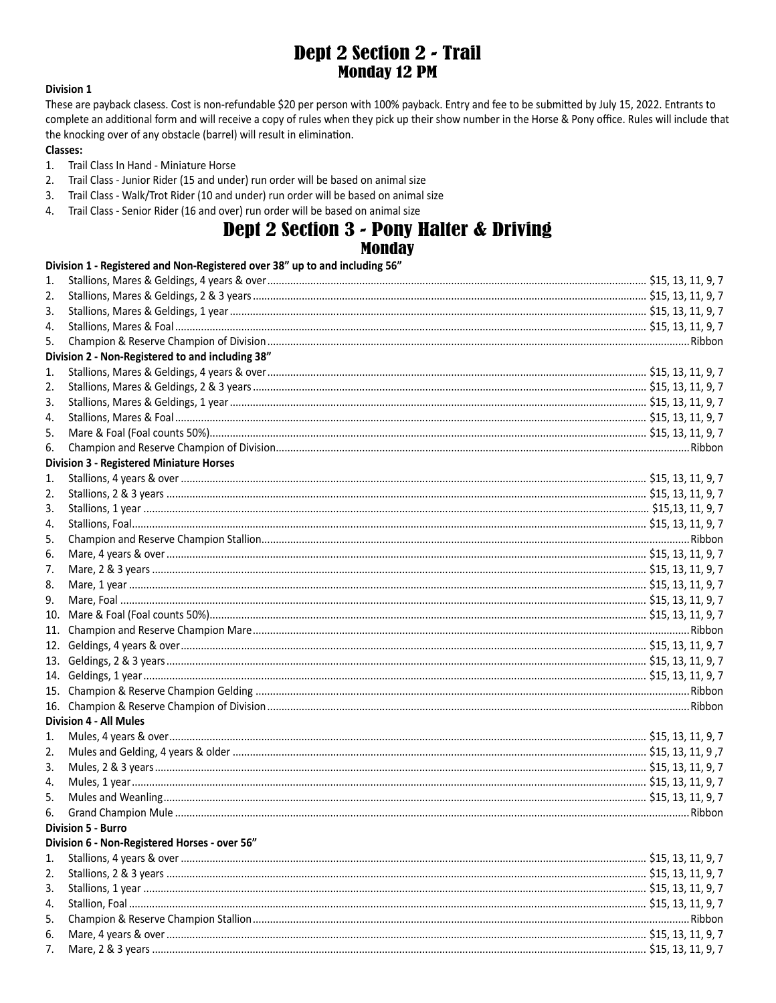# **Dept 2 Section 2 - Trail Monday 12 PM**

#### **Division 1**

These are payback clasess. Cost is non-refundable \$20 per person with 100% payback. Entry and fee to be submitted by July 15, 2022. Entrants to complete an additional form and will receive a copy of rules when they pick up their show number in the Horse & Pony office. Rules will include that the knocking over of any obstacle (barrel) will result in elimination.

#### **Classes:**

7.

- $1.$ Trail Class In Hand - Miniature Horse
- $2.$ Trail Class - Junior Rider (15 and under) run order will be based on animal size
- Trail Class Walk/Trot Rider (10 and under) run order will be based on animal size  $3.$
- 4. Trail Class - Senior Rider (16 and over) run order will be based on animal size

# **Dept 2 Section 3 - Pony Halter & Driving**

# **Monday**

|     | Division 1 - Registered and Non-Registered over 38" up to and including 56" |  |
|-----|-----------------------------------------------------------------------------|--|
| 1.  |                                                                             |  |
| 2.  |                                                                             |  |
| 3.  |                                                                             |  |
| 4.  |                                                                             |  |
| 5.  |                                                                             |  |
|     | Division 2 - Non-Registered to and including 38"                            |  |
| 1.  |                                                                             |  |
| 2.  |                                                                             |  |
| 3.  |                                                                             |  |
| 4.  |                                                                             |  |
| 5.  |                                                                             |  |
| 6.  |                                                                             |  |
|     | <b>Division 3 - Registered Miniature Horses</b>                             |  |
| 1.  |                                                                             |  |
| 2.  |                                                                             |  |
| 3.  |                                                                             |  |
| 4.  |                                                                             |  |
| 5.  |                                                                             |  |
| 6.  |                                                                             |  |
| 7.  |                                                                             |  |
| 8.  |                                                                             |  |
| 9.  |                                                                             |  |
| 10. |                                                                             |  |
| 11. |                                                                             |  |
| 12. |                                                                             |  |
| 13. |                                                                             |  |
| 14. |                                                                             |  |
|     |                                                                             |  |
|     |                                                                             |  |
|     | <b>Division 4 - All Mules</b>                                               |  |
| 1.  |                                                                             |  |
| 2.  |                                                                             |  |
| 3.  |                                                                             |  |
| 4.  |                                                                             |  |
| 5.  |                                                                             |  |
| 6.  |                                                                             |  |
|     | <b>Division 5 - Burro</b>                                                   |  |
|     | Division 6 - Non-Registered Horses - over 56"                               |  |
| 1.  |                                                                             |  |
| 2.  |                                                                             |  |
| 3.  |                                                                             |  |
| 4.  |                                                                             |  |
|     |                                                                             |  |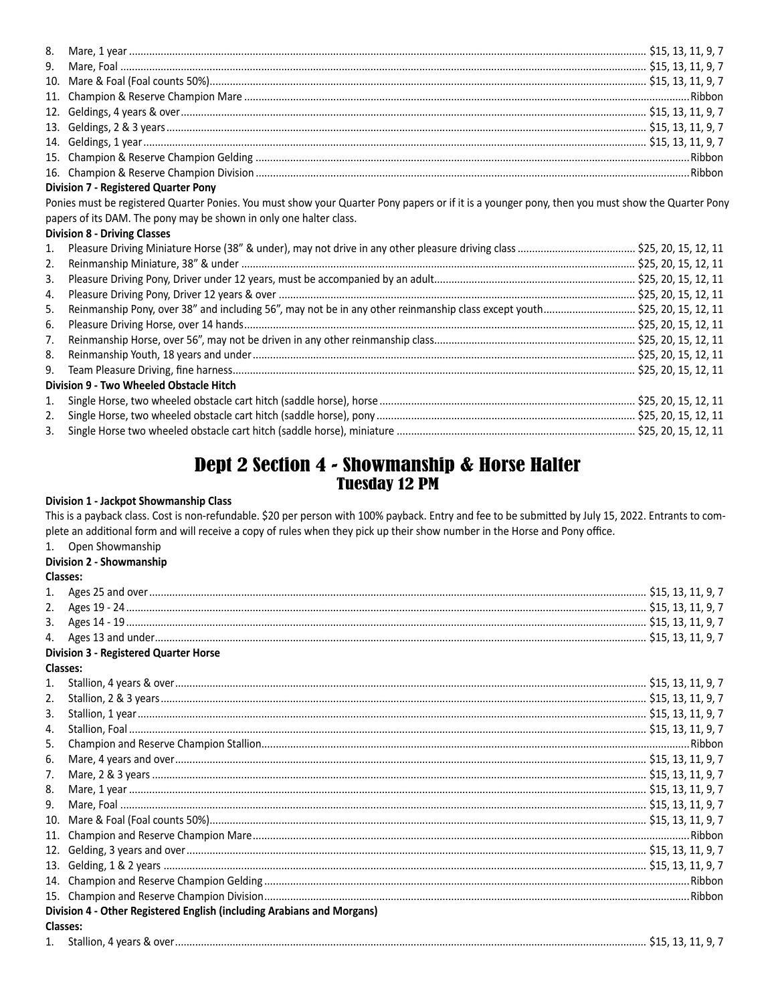| <b>Division 7 - Registered Quarter Pony</b>                                                                                                      |  |  |  |
|--------------------------------------------------------------------------------------------------------------------------------------------------|--|--|--|
| Ponies must be registered Quarter Ponies. You must show your Quarter Pony papers or if it is a younger pony, then you must show the Quarter Pony |  |  |  |
| papers of its DAM. The pony may be shown in only one halter class.                                                                               |  |  |  |
| <b>Division 8 - Driving Classes</b>                                                                                                              |  |  |  |

| 2.                                      |                                                                                                                           |  |  |  |
|-----------------------------------------|---------------------------------------------------------------------------------------------------------------------------|--|--|--|
| 3.                                      |                                                                                                                           |  |  |  |
| 4.                                      |                                                                                                                           |  |  |  |
| 5.                                      | Reinmanship Pony, over 38" and including 56", may not be in any other reinmanship class except youth \$25, 20, 15, 12, 11 |  |  |  |
| 6.                                      |                                                                                                                           |  |  |  |
| 7.                                      |                                                                                                                           |  |  |  |
| 8.                                      |                                                                                                                           |  |  |  |
|                                         |                                                                                                                           |  |  |  |
| Division 9 - Two Wheeled Obstacle Hitch |                                                                                                                           |  |  |  |
| 1.                                      |                                                                                                                           |  |  |  |
| 2.                                      |                                                                                                                           |  |  |  |
| 3.                                      |                                                                                                                           |  |  |  |
|                                         |                                                                                                                           |  |  |  |

# Dept 2 Section 4 - Showmanship & Horse Halter **Tuesday 12 PM**

#### Division 1 - Jackpot Showmanship Class

This is a payback class. Cost is non-refundable. \$20 per person with 100% payback. Entry and fee to be submitted by July 15, 2022. Entrants to complete an additional form and will receive a copy of rules when they pick up their show number in the Horse and Pony office.

### 1. Open Showmanship

#### Division 2 - Showmanship **Classes:**

| 1.               |                                                                        |  |
|------------------|------------------------------------------------------------------------|--|
| 2.               |                                                                        |  |
| 3.               |                                                                        |  |
| 4.               |                                                                        |  |
|                  | <b>Division 3 - Registered Quarter Horse</b>                           |  |
|                  | <b>Classes:</b>                                                        |  |
| 1.               |                                                                        |  |
| 2.               |                                                                        |  |
| $\overline{3}$ . |                                                                        |  |
| 4.               |                                                                        |  |
| 5.               |                                                                        |  |
| 6.               |                                                                        |  |
| 7.               |                                                                        |  |
| 8.               |                                                                        |  |
| 9.               |                                                                        |  |
| 10 <sub>1</sub>  |                                                                        |  |
| 11.              |                                                                        |  |
| 12.              |                                                                        |  |
| 13.              |                                                                        |  |
|                  |                                                                        |  |
|                  |                                                                        |  |
|                  | Division 4 - Other Registered English (including Arabians and Morgans) |  |
|                  | <b>Classes:</b>                                                        |  |
|                  |                                                                        |  |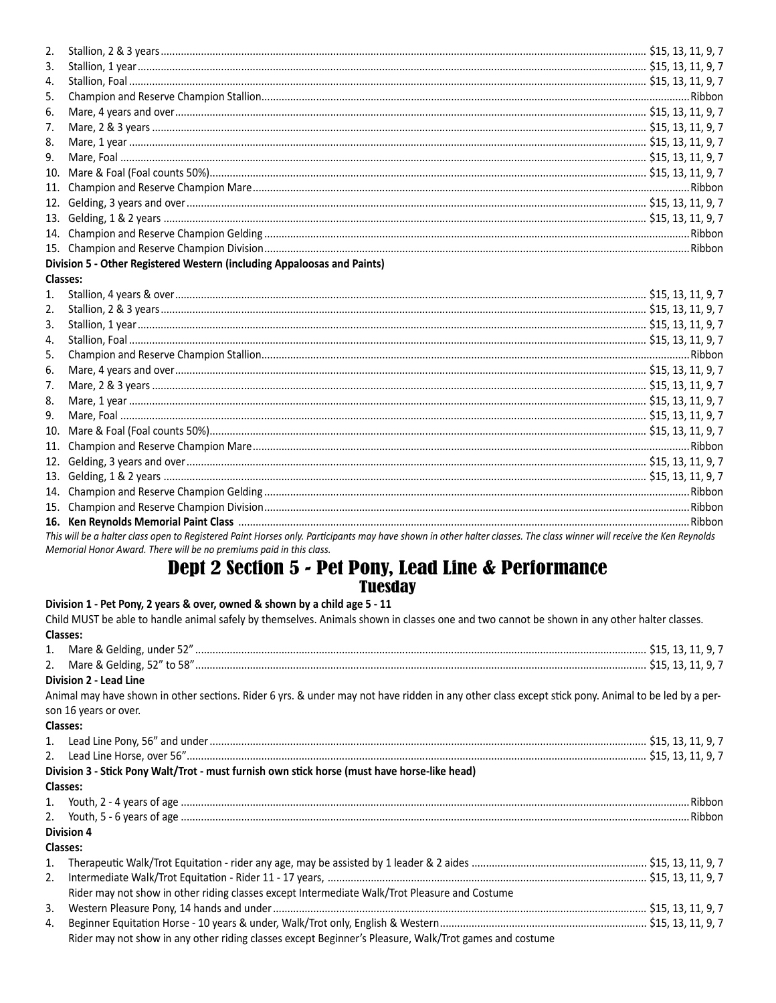| 2.               |                                                                                                                                                                       |  |
|------------------|-----------------------------------------------------------------------------------------------------------------------------------------------------------------------|--|
| 3.               |                                                                                                                                                                       |  |
| 4.               |                                                                                                                                                                       |  |
| 5.               |                                                                                                                                                                       |  |
| 6.               |                                                                                                                                                                       |  |
| 7.               |                                                                                                                                                                       |  |
| 8.               |                                                                                                                                                                       |  |
| 9.               |                                                                                                                                                                       |  |
| 10 <sub>1</sub>  |                                                                                                                                                                       |  |
| 11.              |                                                                                                                                                                       |  |
| 12.              |                                                                                                                                                                       |  |
| 13.              |                                                                                                                                                                       |  |
| 14.              |                                                                                                                                                                       |  |
|                  |                                                                                                                                                                       |  |
|                  | Division 5 - Other Registered Western (including Appaloosas and Paints)                                                                                               |  |
| <b>Classes:</b>  |                                                                                                                                                                       |  |
| 1.               |                                                                                                                                                                       |  |
| 2.               |                                                                                                                                                                       |  |
| 3.               |                                                                                                                                                                       |  |
| $\overline{4}$ . |                                                                                                                                                                       |  |
| 5.               |                                                                                                                                                                       |  |
| 6.               |                                                                                                                                                                       |  |
| 7.               |                                                                                                                                                                       |  |
| 8.               |                                                                                                                                                                       |  |
| 9.               |                                                                                                                                                                       |  |
| 10.              |                                                                                                                                                                       |  |
| 11 <sub>1</sub>  |                                                                                                                                                                       |  |
| 12.              |                                                                                                                                                                       |  |
| 13.              |                                                                                                                                                                       |  |
| 14.              |                                                                                                                                                                       |  |
|                  |                                                                                                                                                                       |  |
|                  |                                                                                                                                                                       |  |
|                  | This will be a halter class open to Registered Paint Horses only. Participants may have shown in other halter classes. The class winner will receive the Ken Reynolds |  |

#### Memorial Honor Award. There will be no premiums paid in this class.

### **Dept 2 Section 5 - Pet Pony, Lead Line & Performance Tuesday**

#### Division 1 - Pet Pony, 2 years & over, owned & shown by a child age 5 - 11 Child MUST be able to handle animal safely by themselves. Animals shown in classes one and two cannot be shown in any other halter classes. Classes:  $1.$  $\mathcal{P}$ **Division 2 - Lead Line** Animal may have shown in other sections. Rider 6 yrs. & under may not have ridden in any other class except stick pony. Animal to be led by a person 16 years or over. Classes:  $1.$  $\mathcal{P}$ Division 3 - Stick Pony Walt/Trot - must furnish own stick horse (must have horse-like head) Classes: 1.  $\mathcal{P}$ **Division 4** Classes:  $\mathbf{1}$  $2.$ Rider may not show in other riding classes except Intermediate Walk/Trot Pleasure and Costume  $3.$  $\overline{4}$ . Rider may not show in any other riding classes except Beginner's Pleasure, Walk/Trot games and costume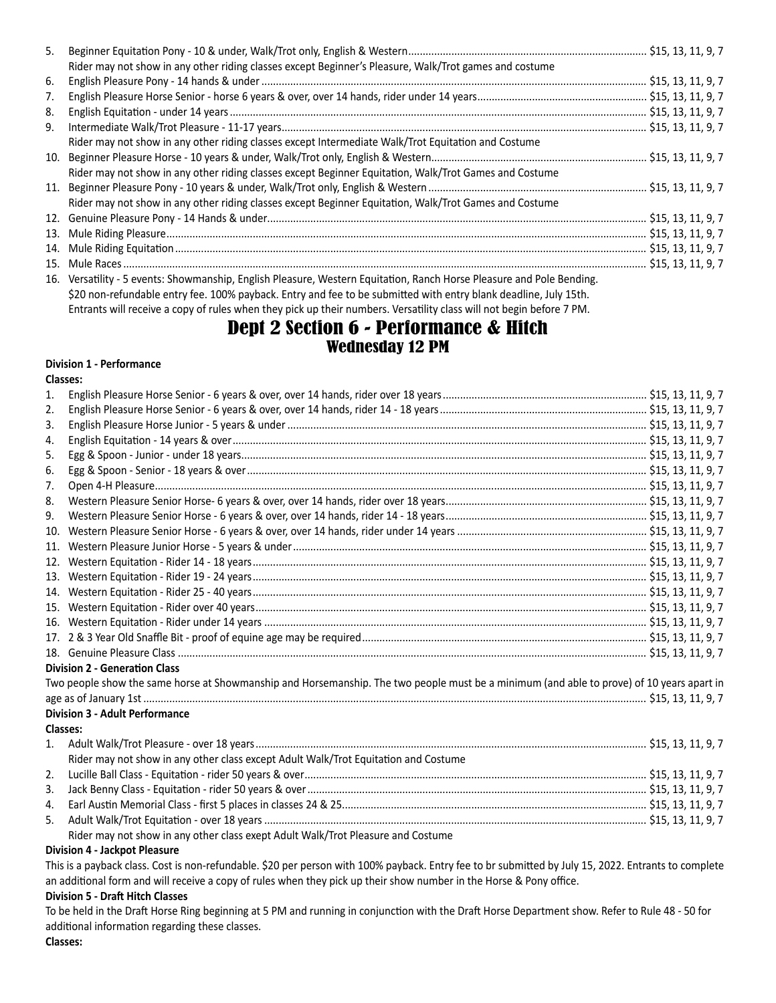| 5. |                                                                                                                     |  |
|----|---------------------------------------------------------------------------------------------------------------------|--|
|    | Rider may not show in any other riding classes except Beginner's Pleasure, Walk/Trot games and costume              |  |
| 6. |                                                                                                                     |  |
| 7. |                                                                                                                     |  |
| 8. |                                                                                                                     |  |
| 9. |                                                                                                                     |  |
|    | Rider may not show in any other riding classes except Intermediate Walk/Trot Equitation and Costume                 |  |
|    |                                                                                                                     |  |
|    | Rider may not show in any other riding classes except Beginner Equitation, Walk/Trot Games and Costume              |  |
|    |                                                                                                                     |  |
|    | Rider may not show in any other riding classes except Beginner Equitation, Walk/Trot Games and Costume              |  |
|    |                                                                                                                     |  |
|    |                                                                                                                     |  |
|    |                                                                                                                     |  |
|    |                                                                                                                     |  |
|    | 16 Versatility - 5 events: Showmanshin, English Pleasure, Western Equitation, Ranch Horse Pleasure and Pole Bending |  |

16. Versatility - 5 events: Showmanship, English Pleasure, Western Equitation, Ranch Horse Pleasure and Pole Bending. \$20 non-refundable entry fee. 100% payback. Entry and fee to be submitted with entry blank deadline, July 15th. Entrants will receive a copy of rules when they pick up their numbers. Versatility class will not begin before 7 PM.

### Dept 2 Section 6 - Performance & Hitch Wednesday 12 PM

#### **Division 1 - Performance**

| ۰.<br>۰,<br>٧<br>×<br>I<br>× |
|------------------------------|
|------------------------------|

| 1.  |                                                                                                                                           |  |
|-----|-------------------------------------------------------------------------------------------------------------------------------------------|--|
| 2.  |                                                                                                                                           |  |
| 3.  |                                                                                                                                           |  |
| 4.  |                                                                                                                                           |  |
| 5.  |                                                                                                                                           |  |
| 6.  |                                                                                                                                           |  |
| 7.  |                                                                                                                                           |  |
| 8.  |                                                                                                                                           |  |
| 9.  |                                                                                                                                           |  |
| 10. |                                                                                                                                           |  |
| 11. |                                                                                                                                           |  |
| 12. |                                                                                                                                           |  |
| 13. |                                                                                                                                           |  |
| 14. |                                                                                                                                           |  |
| 15. |                                                                                                                                           |  |
| 16. |                                                                                                                                           |  |
|     |                                                                                                                                           |  |
|     |                                                                                                                                           |  |
|     | <b>Division 2 - Generation Class</b>                                                                                                      |  |
|     | Two people show the same horse at Showmanship and Horsemanship. The two people must be a minimum (and able to prove) of 10 years apart in |  |
|     |                                                                                                                                           |  |
|     | <b>Division 3 - Adult Performance</b>                                                                                                     |  |
|     | Classes:                                                                                                                                  |  |
| 1.  |                                                                                                                                           |  |
|     | Rider may not show in any other class except Adult Walk/Trot Equitation and Costume                                                       |  |
| 2.  |                                                                                                                                           |  |
| 3.  |                                                                                                                                           |  |
| 4.  |                                                                                                                                           |  |
| 5.  |                                                                                                                                           |  |
|     | Rider may not show in any other class exept Adult Walk/Trot Pleasure and Costume                                                          |  |

#### **Division 4 - Jackpot Pleasure**

This is a payback class. Cost is non-refundable. \$20 per person with 100% payback. Entry fee to br submitted by July 15, 2022. Entrants to complete an additional form and will receive a copy of rules when they pick up their show number in the Horse & Pony office.

#### **Division 5 - Draft Hitch Classes**

To be held in the Draft Horse Ring beginning at 5 PM and running in conjunction with the Draft Horse Department show. Refer to Rule 48 - 50 for additional information regarding these classes.

**Classes:**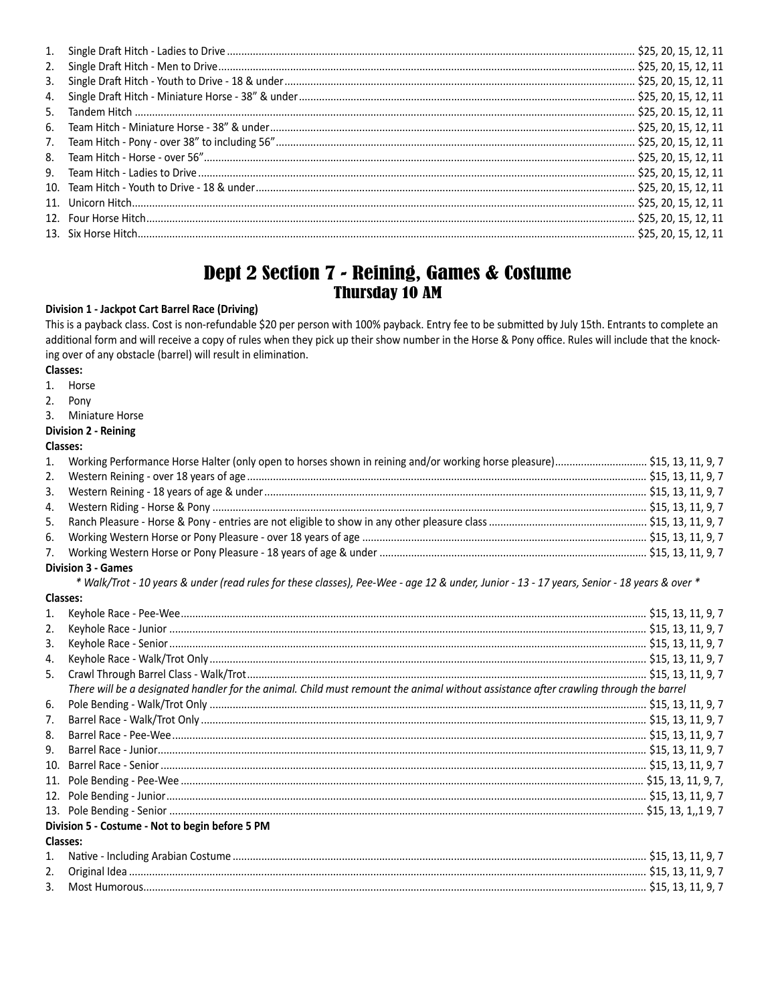| 1. |  |  |
|----|--|--|
| 2. |  |  |
| 3. |  |  |
| 4. |  |  |
| 5. |  |  |
|    |  |  |
| 7. |  |  |
|    |  |  |
|    |  |  |
|    |  |  |
|    |  |  |
|    |  |  |
|    |  |  |
|    |  |  |

### Dept 2 Section 7 - Reining, Games & Costume **Thursday 10 AM**

#### **Division 1 - Jackpot Cart Barrel Race (Driving)**

This is a payback class. Cost is non-refundable \$20 per person with 100% payback. Entry fee to be submitted by July 15th. Entrants to complete an additional form and will receive a copy of rules when they pick up their show number in the Horse & Pony office. Rules will include that the knocking over of any obstacle (barrel) will result in elimination.

Classes:

Horse  $1.$ 

 $2.$ Pony

 $3.$ Miniature Horse

#### Division 2 - Reining

#### Classes:

| 1. |  |  |  |
|----|--|--|--|
| 2. |  |  |  |
|    |  |  |  |
|    |  |  |  |
| 5. |  |  |  |
| 6. |  |  |  |
| 7. |  |  |  |

#### **Division 3 - Games**

\* Walk/Trot - 10 years & under (read rules for these classes), Pee-Wee - age 12 & under, Junior - 13 - 17 years, Senior - 18 years & over \*

#### Classes:

 $2.$  $3.$ 

| 1.                                              |                                                                                                                                                                                                                                                                                                                              |  |  |
|-------------------------------------------------|------------------------------------------------------------------------------------------------------------------------------------------------------------------------------------------------------------------------------------------------------------------------------------------------------------------------------|--|--|
| 2.                                              |                                                                                                                                                                                                                                                                                                                              |  |  |
| 3.                                              |                                                                                                                                                                                                                                                                                                                              |  |  |
| 4.                                              |                                                                                                                                                                                                                                                                                                                              |  |  |
| 5.                                              |                                                                                                                                                                                                                                                                                                                              |  |  |
|                                                 | There will be a designated handler for the animal. Child must remount the animal without assistance after crawling through the barrel                                                                                                                                                                                        |  |  |
| 6.                                              |                                                                                                                                                                                                                                                                                                                              |  |  |
|                                                 | $\frac{115}{15}$<br>$\frac{131}{19}$<br>$\frac{131}{19}$<br>$\frac{131}{19}$<br>$\frac{131}{19}$<br>$\frac{131}{19}$<br>$\frac{131}{19}$<br>$\frac{131}{19}$<br>$\frac{131}{19}$<br>$\frac{131}{19}$<br>$\frac{131}{19}$<br>$\frac{131}{19}$<br>$\frac{131}{19}$<br>$\frac{131}{19}$<br>$\frac{131}{19}$<br>$\frac{131}{19}$ |  |  |
|                                                 |                                                                                                                                                                                                                                                                                                                              |  |  |
|                                                 |                                                                                                                                                                                                                                                                                                                              |  |  |
|                                                 |                                                                                                                                                                                                                                                                                                                              |  |  |
|                                                 |                                                                                                                                                                                                                                                                                                                              |  |  |
|                                                 |                                                                                                                                                                                                                                                                                                                              |  |  |
|                                                 |                                                                                                                                                                                                                                                                                                                              |  |  |
| Division 5 - Costume - Not to begin before 5 PM |                                                                                                                                                                                                                                                                                                                              |  |  |
|                                                 | <b>Classes:</b>                                                                                                                                                                                                                                                                                                              |  |  |
|                                                 |                                                                                                                                                                                                                                                                                                                              |  |  |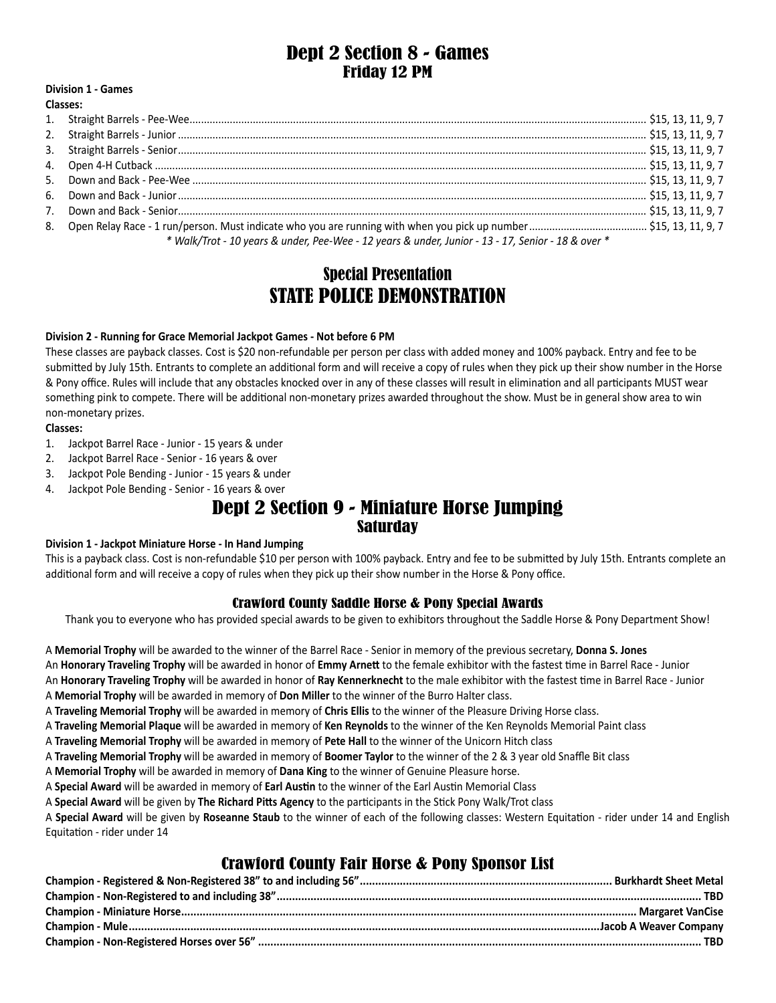### Dept 2 Section 8 - Games Friday 12 PM

#### **Division 1 - Games Classes:**

| * Walk/Trot - 10 years & under, Pee-Wee - 12 years & under, Junior - 13 - 17, Senior - 18 & over * |  |
|----------------------------------------------------------------------------------------------------|--|

# Special Presentation STATE POLICE DEMONSTRATION

#### **Division 2 - Running for Grace Memorial Jackpot Games - Not before 6 PM**

These classes are payback classes. Cost is \$20 non-refundable per person per class with added money and 100% payback. Entry and fee to be submitted by July 15th. Entrants to complete an additional form and will receive a copy of rules when they pick up their show number in the Horse & Pony office. Rules will include that any obstacles knocked over in any of these classes will result in elimination and all participants MUST wear something pink to compete. There will be additional non-monetary prizes awarded throughout the show. Must be in general show area to win non-monetary prizes.

#### **Classes:**

- 1. Jackpot Barrel Race Junior 15 years & under
- 2. Jackpot Barrel Race Senior 16 years & over
- 3. Jackpot Pole Bending Junior 15 years & under
- 4. Jackpot Pole Bending Senior 16 years & over

# Dept 2 Section 9 - Miniature Horse Jumping Saturday

#### **Division 1 - Jackpot Miniature Horse - In Hand Jumping**

This is a payback class. Cost is non-refundable \$10 per person with 100% payback. Entry and fee to be submitted by July 15th. Entrants complete an additional form and will receive a copy of rules when they pick up their show number in the Horse & Pony office.

#### Crawford County Saddle Horse & Pony Special Awards

Thank you to everyone who has provided special awards to be given to exhibitors throughout the Saddle Horse & Pony Department Show!

A **Memorial Trophy** will be awarded to the winner of the Barrel Race - Senior in memory of the previous secretary, **Donna S. Jones** An **Honorary Traveling Trophy** will be awarded in honor of **Emmy Arnett** to the female exhibitor with the fastest time in Barrel Race - Junior An **Honorary Traveling Trophy** will be awarded in honor of **Ray Kennerknecht** to the male exhibitor with the fastest time in Barrel Race - Junior

A **Memorial Trophy** will be awarded in memory of **Don Miller** to the winner of the Burro Halter class.

A **Traveling Memorial Trophy** will be awarded in memory of **Chris Ellis** to the winner of the Pleasure Driving Horse class.

A **Traveling Memorial Plaque** will be awarded in memory of **Ken Reynolds** to the winner of the Ken Reynolds Memorial Paint class

A **Traveling Memorial Trophy** will be awarded in memory of **Pete Hall** to the winner of the Unicorn Hitch class

A **Traveling Memorial Trophy** will be awarded in memory of **Boomer Taylor** to the winner of the 2 & 3 year old Snaffle Bit class

A **Memorial Trophy** will be awarded in memory of **Dana King** to the winner of Genuine Pleasure horse.

A **Special Award** will be awarded in memory of **Earl Austin** to the winner of the Earl Austin Memorial Class

A **Special Award** will be given by **The Richard Pitts Agency** to the participants in the Stick Pony Walk/Trot class

A **Special Award** will be given by **Roseanne Staub** to the winner of each of the following classes: Western Equitation - rider under 14 and English Equitation - rider under 14

### Crawford County Fair Horse & Pony Sponsor List